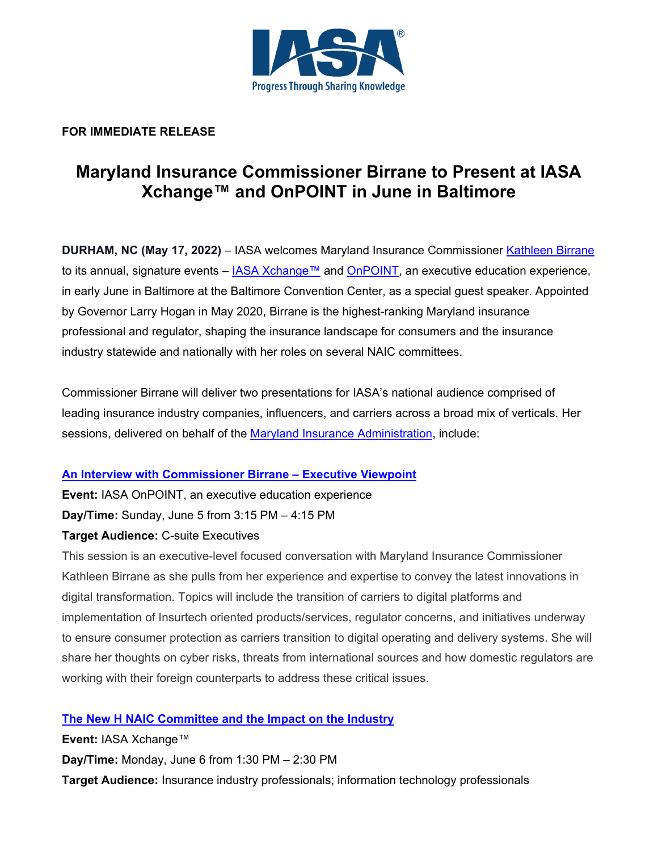

## **FOR IMMEDIATE RELEASE**

# **Maryland Insurance Commissioner Birrane to Present at IASA Xchange™ and OnPOINT in June in Baltimore**

**DURHAM, NC (May 17, 2022)** – IASA welcomes Maryland Insurance Commissioner Kathleen Birrane to its annual, signature events –  $IASA Xchange™$  and  $OnPOINT$ , an executive education experience, in early June in Baltimore at the Baltimore Convention Center, as a special guest speaker. Appointed by Governor Larry Hogan in May 2020, Birrane is the highest-ranking Maryland insurance professional and regulator, shaping the insurance landscape for consumers and the insurance industry statewide and nationally with her roles on several NAIC committees.

Commissioner Birrane will deliver two presentations for IASA's national audience comprised of leading insurance industry companies, influencers, and carriers across a broad mix of verticals. Her sessions, delivered on behalf of the Maryland Insurance Administration, include:

## **An Interview with Commissioner Birrane – Executive Viewpoint**

**Event:** IASA OnPOINT, an executive education experience **Day/Time:** Sunday, June 5 from 3:15 PM – 4:15 PM

## **Target Audience:** C-suite Executives

This session is an executive-level focused conversation with Maryland Insurance Commissioner Kathleen Birrane as she pulls from her experience and expertise to convey the latest innovations in digital transformation. Topics will include the transition of carriers to digital platforms and implementation of Insurtech oriented products/services, regulator concerns, and initiatives underway to ensure consumer protection as carriers transition to digital operating and delivery systems. She will share her thoughts on cyber risks, threats from international sources and how domestic regulators are working with their foreign counterparts to address these critical issues.

# **The New H NAIC Committee and the Impact on the Industry**

**Event:** IASA Xchange™ **Day/Time:** Monday, June 6 from 1:30 PM – 2:30 PM **Target Audience:** Insurance industry professionals; information technology professionals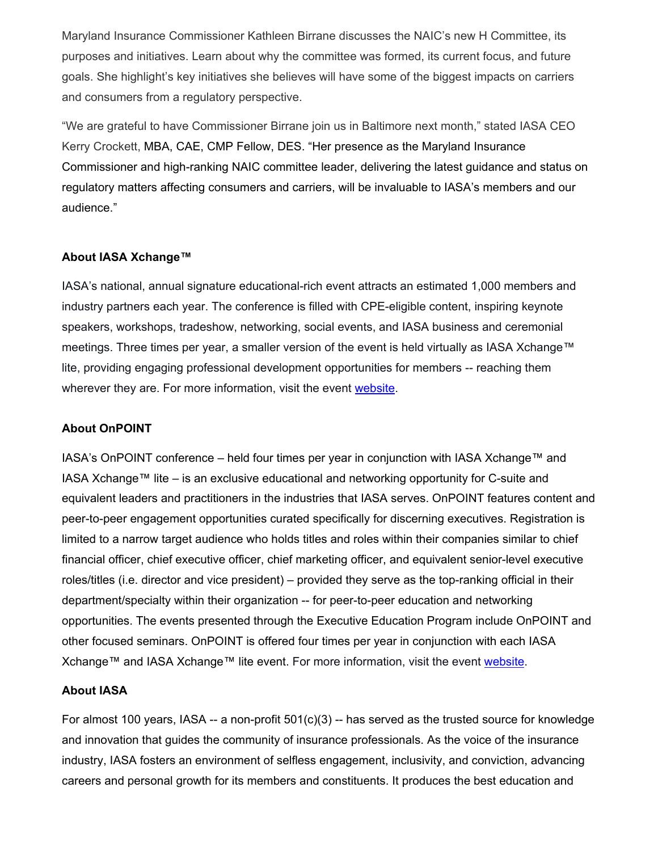Maryland Insurance Commissioner Kathleen Birrane discusses the NAIC's new H Committee, its purposes and initiatives. Learn about why the committee was formed, its current focus, and future goals. She highlight's key initiatives she believes will have some of the biggest impacts on carriers and consumers from a regulatory perspective.

"We are grateful to have Commissioner Birrane join us in Baltimore next month," stated IASA CEO Kerry Crockett, MBA, CAE, CMP Fellow, DES. "Her presence as the Maryland Insurance Commissioner and high-ranking NAIC committee leader, delivering the latest guidance and status on regulatory matters affecting consumers and carriers, will be invaluable to IASA's members and our audience."

### **About IASA Xchange™**

IASA's national, annual signature educational-rich event attracts an estimated 1,000 members and industry partners each year. The conference is filled with CPE-eligible content, inspiring keynote speakers, workshops, tradeshow, networking, social events, and IASA business and ceremonial meetings. Three times per year, a smaller version of the event is held virtually as IASA Xchange™ lite, providing engaging professional development opportunities for members -- reaching them wherever they are. For more information, visit the event website.

#### **About OnPOINT**

IASA's OnPOINT conference – held four times per year in conjunction with IASA Xchange™ and IASA Xchange™ lite – is an exclusive educational and networking opportunity for C-suite and equivalent leaders and practitioners in the industries that IASA serves. OnPOINT features content and peer-to-peer engagement opportunities curated specifically for discerning executives. Registration is limited to a narrow target audience who holds titles and roles within their companies similar to chief financial officer, chief executive officer, chief marketing officer, and equivalent senior-level executive roles/titles (i.e. director and vice president) – provided they serve as the top-ranking official in their department/specialty within their organization -- for peer-to-peer education and networking opportunities. The events presented through the Executive Education Program include OnPOINT and other focused seminars. OnPOINT is offered four times per year in conjunction with each IASA Xchange™ and IASA Xchange™ lite event. For more information, visit the event website.

#### **About IASA**

For almost 100 years, IASA -- a non-profit 501(c)(3) -- has served as the trusted source for knowledge and innovation that guides the community of insurance professionals. As the voice of the insurance industry, IASA fosters an environment of selfless engagement, inclusivity, and conviction, advancing careers and personal growth for its members and constituents. It produces the best education and